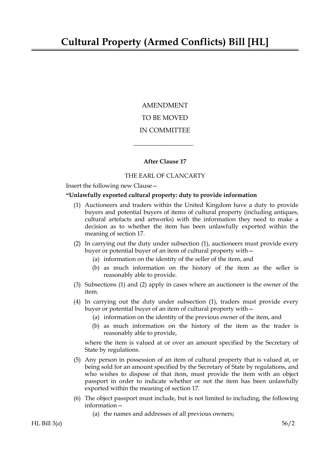AMENDMENT TO BE MOVED IN COMMITTEE

## **After Clause 17**

 $\overline{\phantom{a}}$  , where  $\overline{\phantom{a}}$ 

## THE EARL OF CLANCARTY

Insert the following new Clause—

## **"Unlawfully exported cultural property: duty to provide information**

- (1) Auctioneers and traders within the United Kingdom have a duty to provide buyers and potential buyers of items of cultural property (including antiques, cultural artefacts and artworks) with the information they need to make a decision as to whether the item has been unlawfully exported within the meaning of section 17.
- (2) In carrying out the duty under subsection (1), auctioneers must provide every buyer or potential buyer of an item of cultural property with—
	- (a) information on the identity of the seller of the item, and
	- (b) as much information on the history of the item as the seller is reasonably able to provide.
- (3) Subsections (1) and (2) apply in cases where an auctioneer is the owner of the item.
- (4) In carrying out the duty under subsection (1), traders must provide every buyer or potential buyer of an item of cultural property with—
	- (a) information on the identity of the previous owner of the item, and
	- (b) as much information on the history of the item as the trader is reasonably able to provide,

where the item is valued at or over an amount specified by the Secretary of State by regulations.

- (5) Any person in possession of an item of cultural property that is valued at, or being sold for an amount specified by the Secretary of State by regulations, and who wishes to dispose of that item, must provide the item with an object passport in order to indicate whether or not the item has been unlawfully exported within the meaning of section 17.
- (6) The object passport must include, but is not limited to including, the following information—
	- (a) the names and addresses of all previous owners;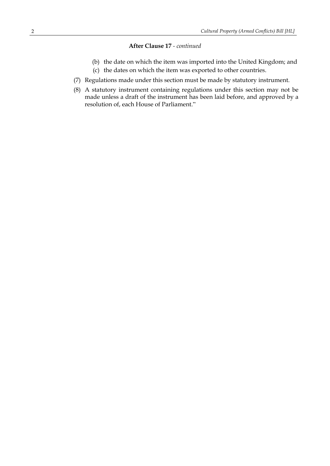## **After Clause 17** *- continued*

- (b) the date on which the item was imported into the United Kingdom; and
- (c) the dates on which the item was exported to other countries.
- (7) Regulations made under this section must be made by statutory instrument.
- (8) A statutory instrument containing regulations under this section may not be made unless a draft of the instrument has been laid before, and approved by a resolution of, each House of Parliament."